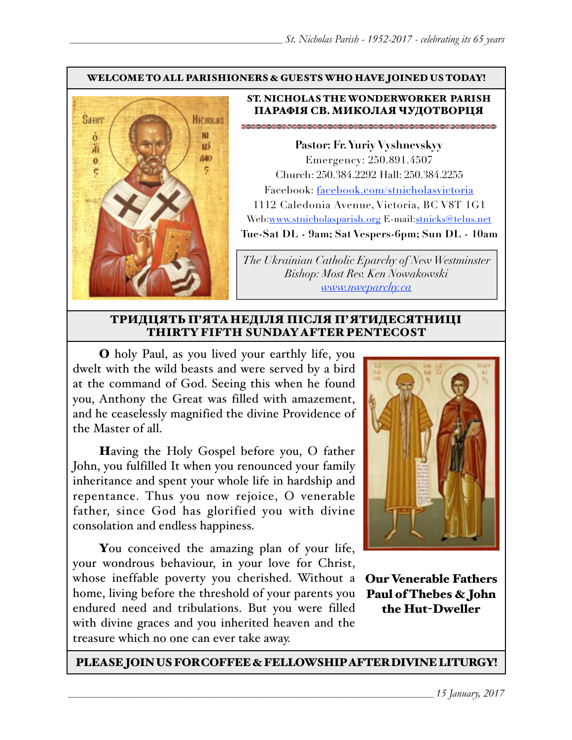### WELCOME TO ALL PARISHIONERS & GUESTS WHO HAVE JOINED US TODAY!



### ST. NICHOLAS THE WONDERWORKER PARISH ПАРАФІЯ СВ. МИКОЛАЯ ЧУДОТВОРЦЯ

**Pastor: Fr. Yuriy Vyshnevskyy** Emergency: 250.891.4507 Church: 250.384.2292 Hall: 250.384.2255 Facebook: facebook.com/stnicholasvictoria 1112 Caledonia Avenue, Victoria, BC V8T 1G1 Web[:www.stnicholasparish.org](http://www.stnicholasparish.org) E-mail:[stnicks@telus.net](mailto:stnicks@telus.net) **Tue-Sat DL - 9am; Sat Vespers-6pm; Sun DL - 10am**

*The Ukrainian Catholic Eparchy of New Westminster Bishop: Most Rev. Ken Nowakowski [www.nweparchy.ca](http://www.nweparchy.ca)*

### ТРИДЦЯТЬ П'ЯТАНЕДІЛЯ ПІСЛЯ П'ЯТИДЕСЯТНИЦІ THIRTY FIFTH SUNDAY AFTER PENTECOST

O holy Paul, as you lived your earthly life, you dwelt with the wild beasts and were served by a bird at the command of God. Seeing this when he found you, Anthony the Great was filled with amazement, and he ceaselessly magnified the divine Providence of the Master of all.

Having the Holy Gospel before you, O father John, you fulfilled It when you renounced your family inheritance and spent your whole life in hardship and repentance. Thus you now rejoice, O venerable father, since God has glorified you with divine consolation and endless happiness.

You conceived the amazing plan of your life, your wondrous behaviour, in your love for Christ, whose ineffable poverty you cherished. Without a home, living before the threshold of your parents you endured need and tribulations. But you were filled with divine graces and you inherited heaven and the treasure which no one can ever take away.



Our Venerable Fathers Paul of Thebes & John the Hut-Dweller

PLEASE JOIN US FOR COFFEE & FELLOWSHIP AFTER DIVINE LITURGY!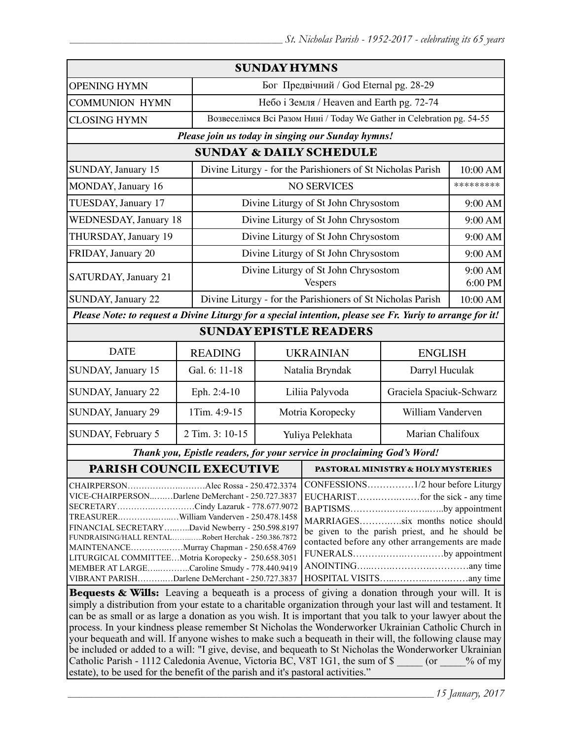| <b>SUNDAY HYMNS</b>                                                                                                                                                                                                                                                                                                                                                                                                                            |                                                                                                                                                                                              |                                                        |                                                                        |                                      |           |
|------------------------------------------------------------------------------------------------------------------------------------------------------------------------------------------------------------------------------------------------------------------------------------------------------------------------------------------------------------------------------------------------------------------------------------------------|----------------------------------------------------------------------------------------------------------------------------------------------------------------------------------------------|--------------------------------------------------------|------------------------------------------------------------------------|--------------------------------------|-----------|
| <b>OPENING HYMN</b>                                                                                                                                                                                                                                                                                                                                                                                                                            |                                                                                                                                                                                              |                                                        | Бог Предвічний / God Eternal pg. 28-29                                 |                                      |           |
| <b>COMMUNION HYMN</b>                                                                                                                                                                                                                                                                                                                                                                                                                          |                                                                                                                                                                                              |                                                        | Небо і Земля / Heaven and Earth pg. 72-74                              |                                      |           |
| <b>CLOSING HYMN</b>                                                                                                                                                                                                                                                                                                                                                                                                                            |                                                                                                                                                                                              |                                                        | Возвеселімся Всі Разом Нині / Today We Gather in Celebration pg. 54-55 |                                      |           |
| Please join us today in singing our Sunday hymns!                                                                                                                                                                                                                                                                                                                                                                                              |                                                                                                                                                                                              |                                                        |                                                                        |                                      |           |
| <b>SUNDAY &amp; DAILY SCHEDULE</b>                                                                                                                                                                                                                                                                                                                                                                                                             |                                                                                                                                                                                              |                                                        |                                                                        |                                      |           |
| SUNDAY, January 15                                                                                                                                                                                                                                                                                                                                                                                                                             | Divine Liturgy - for the Parishioners of St Nicholas Parish                                                                                                                                  |                                                        |                                                                        | 10:00 AM                             |           |
| MONDAY, January 16                                                                                                                                                                                                                                                                                                                                                                                                                             |                                                                                                                                                                                              | <b>NO SERVICES</b>                                     |                                                                        |                                      | ********* |
| TUESDAY, January 17                                                                                                                                                                                                                                                                                                                                                                                                                            | Divine Liturgy of St John Chrysostom                                                                                                                                                         |                                                        |                                                                        | 9:00 AM                              |           |
| <b>WEDNESDAY, January 18</b>                                                                                                                                                                                                                                                                                                                                                                                                                   |                                                                                                                                                                                              | Divine Liturgy of St John Chrysostom                   |                                                                        |                                      | 9:00 AM   |
| THURSDAY, January 19                                                                                                                                                                                                                                                                                                                                                                                                                           |                                                                                                                                                                                              | Divine Liturgy of St John Chrysostom                   |                                                                        |                                      | 9:00 AM   |
| FRIDAY, January 20                                                                                                                                                                                                                                                                                                                                                                                                                             |                                                                                                                                                                                              |                                                        |                                                                        | Divine Liturgy of St John Chrysostom |           |
| SATURDAY, January 21                                                                                                                                                                                                                                                                                                                                                                                                                           |                                                                                                                                                                                              | Divine Liturgy of St John Chrysostom<br><b>Vespers</b> |                                                                        | 9:00 AM<br>6:00 PM                   |           |
| <b>SUNDAY, January 22</b>                                                                                                                                                                                                                                                                                                                                                                                                                      |                                                                                                                                                                                              |                                                        | Divine Liturgy - for the Parishioners of St Nicholas Parish            |                                      | 10:00 AM  |
| Please Note: to request a Divine Liturgy for a special intention, please see Fr. Yuriy to arrange for it!                                                                                                                                                                                                                                                                                                                                      |                                                                                                                                                                                              |                                                        |                                                                        |                                      |           |
| <b>SUNDAY EPISTLE READERS</b>                                                                                                                                                                                                                                                                                                                                                                                                                  |                                                                                                                                                                                              |                                                        |                                                                        |                                      |           |
| <b>DATE</b>                                                                                                                                                                                                                                                                                                                                                                                                                                    | <b>READING</b>                                                                                                                                                                               |                                                        | <b>UKRAINIAN</b>                                                       | <b>ENGLISH</b>                       |           |
| SUNDAY, January 15                                                                                                                                                                                                                                                                                                                                                                                                                             | Gal. 6: 11-18                                                                                                                                                                                | Natalia Bryndak                                        |                                                                        | Darryl Huculak                       |           |
| SUNDAY, January 22                                                                                                                                                                                                                                                                                                                                                                                                                             | Eph. 2:4-10                                                                                                                                                                                  | Liliia Palyvoda                                        |                                                                        | Graciela Spaciuk-Schwarz             |           |
| SUNDAY, January 29                                                                                                                                                                                                                                                                                                                                                                                                                             | 1Tim. 4:9-15                                                                                                                                                                                 | Motria Koropecky                                       |                                                                        | William Vanderven                    |           |
| SUNDAY, February 5                                                                                                                                                                                                                                                                                                                                                                                                                             | 2 Tim. 3: 10-15                                                                                                                                                                              | Yuliya Pelekhata                                       |                                                                        | Marian Chalifoux                     |           |
| Thank you, Epistle readers, for your service in proclaiming God's Word!                                                                                                                                                                                                                                                                                                                                                                        |                                                                                                                                                                                              |                                                        |                                                                        |                                      |           |
| PARISH COUNCIL EXECUTIVE                                                                                                                                                                                                                                                                                                                                                                                                                       |                                                                                                                                                                                              |                                                        | <b>PASTORAL MINISTRY &amp; HOLY MYSTERIES</b>                          |                                      |           |
| CHAIRPERSONAlec Rossa - 250.472.3374<br>VICE-CHAIRPERSONDarlene DeMerchant - 250.727.3837<br>SECRETARYCindy Lazaruk - 778.677.9072<br>TREASURERWilliam Vanderven - 250.478.1458<br>FINANCIAL SECRETARYDavid Newberry - 250.598.8197<br>FUNDRAISING/HALL RENTALRobert Herchak - 250.386.7872<br>MAINTENANCEMurray Chapman - 250.658.4769<br>LITURGICAL COMMITTEEMotria Koropecky - 250.658.3051<br>MEMBER AT LARGECaroline Smudy - 778.440.9419 | BAPTISMSby appointment<br>MARRIAGESsix months notice should<br>be given to the parish priest, and he should be<br>contacted before any other arrangements are made<br>FUNERALSby appointment |                                                        |                                                                        |                                      |           |
| VIBRANT PARISHDarlene DeMerchant - 250.727.3837<br><b>Bequests &amp; Wills:</b> Leaving a bequeath is a process of giving a donation through your will. It is                                                                                                                                                                                                                                                                                  |                                                                                                                                                                                              |                                                        |                                                                        |                                      |           |

simply a distribution from your estate to a charitable organization through your last will and testament. It can be as small or as large a donation as you wish. It is important that you talk to your lawyer about the process. In your kindness please remember St Nicholas the Wonderworker Ukrainian Catholic Church in your bequeath and will. If anyone wishes to make such a bequeath in their will, the following clause may be included or added to a will: "I give, devise, and bequeath to St Nicholas the Wonderworker Ukrainian Catholic Parish - 1112 Caledonia Avenue, Victoria BC, V8T 1G1, the sum of \$  $\qquad \qquad$  (or  $\qquad \qquad$  % of my estate), to be used for the benefit of the parish and it's pastoral activities."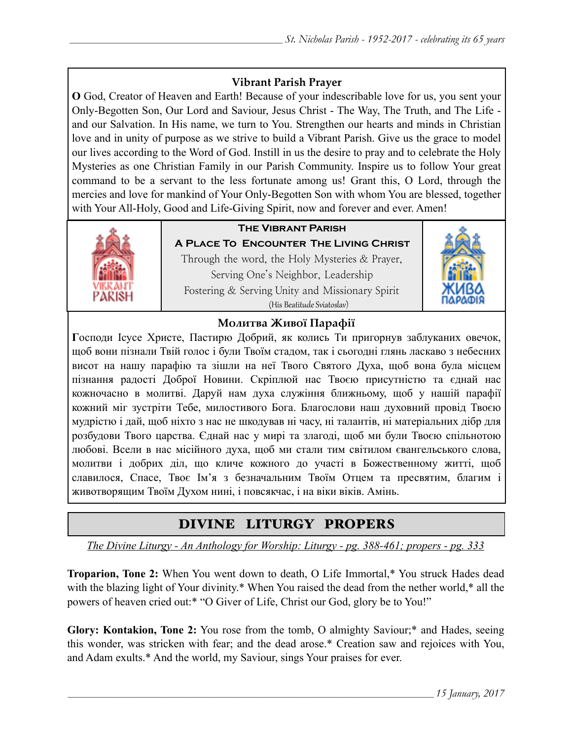## **Vibrant Parish Prayer**

**O** God, Creator of Heaven and Earth! Because of your indescribable love for us, you sent your Only-Begotten Son, Our Lord and Saviour, Jesus Christ - The Way, The Truth, and The Life and our Salvation. In His name, we turn to You. Strengthen our hearts and minds in Christian love and in unity of purpose as we strive to build a Vibrant Parish. Give us the grace to model our lives according to the Word of God. Instill in us the desire to pray and to celebrate the Holy Mysteries as one Christian Family in our Parish Community. Inspire us to follow Your great command to be a servant to the less fortunate among us! Grant this, O Lord, through the mercies and love for mankind of Your Only-Begotten Son with whom You are blessed, together with Your All-Holy, Good and Life-Giving Spirit, now and forever and ever. Amen!



## **The Vibrant Parish**

**A Place To Encounter The Living Christ** Through the word, the Holy Mysteries & Prayer, Serving One's Neighbor, Leadership Fostering & Serving Unity and Missionary Spirit (His Beatitude Sviatoslav)



### **Молитва Живої Парафії**

**Г**осподи Ісусе Христе, Пастирю Добрий, як колись Ти пригорнув заблуканих овечок, щоб вони пізнали Твій голос і були Твоїм стадом, так і сьогодні глянь ласкаво з небесних висот на нашу парафію та зішли на неї Твого Святого Духа, щоб вона була місцем пізнання радості Доброї Новини. Скріплюй нас Твоєю присутністю та єднай нас кожночасно в молитві. Даруй нам духа служіння ближньому, щоб у нашій парафії кожний міг зустріти Тебе, милостивого Бога. Благослови наш духовний провід Твоєю мудрістю і дай, щоб ніхто з нас не шкодував ні часу, ні талантів, ні матеріальних дібр для розбудови Твого царства. Єднай нас у мирі та злагоді, щоб ми були Твоєю спільнотою любові. Всели в нас місійного духа, щоб ми стали тим світилом євангельського слова, молитви і добрих діл, що кличе кожного до участі в Божественному житті, щоб славилося, Спасе, Твоє Ім'я з безначальним Твоїм Отцем та пресвятим, благим і животворящим Твоїм Духом нині, і повсякчас, і на віки віків. Амінь.

# DIVINE LITURGY PROPERS

*The Divine Liturgy - An Anthology for Worship: Liturgy - pg. 388-461; propers - pg. 333* 

**Troparion, Tone 2:** When You went down to death, O Life Immortal,\* You struck Hades dead with the blazing light of Your divinity.\* When You raised the dead from the nether world,\* all the powers of heaven cried out:\* "O Giver of Life, Christ our God, glory be to You!"

**Glory: Kontakion, Tone 2:** You rose from the tomb, O almighty Saviour;\* and Hades, seeing this wonder, was stricken with fear; and the dead arose.\* Creation saw and rejoices with You, and Adam exults.\* And the world, my Saviour, sings Your praises for ever.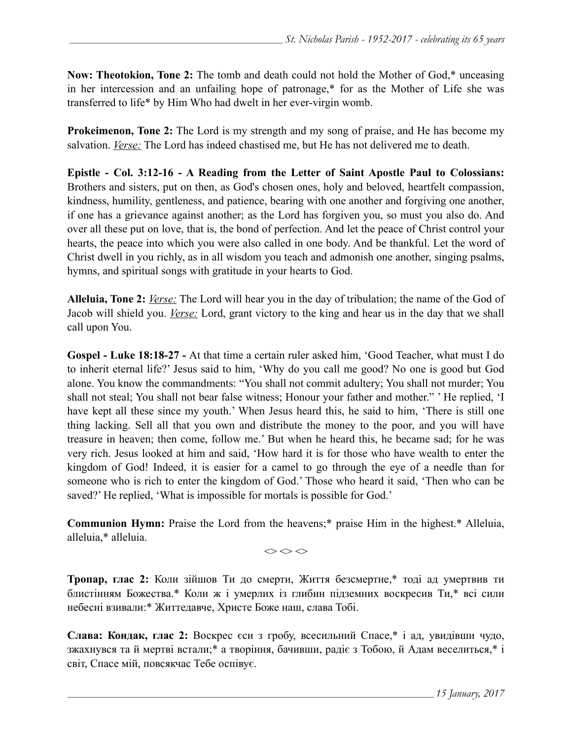**Now: Theotokion, Tone 2:** The tomb and death could not hold the Mother of God,\* unceasing in her intercession and an unfailing hope of patronage,\* for as the Mother of Life she was transferred to life\* by Him Who had dwelt in her ever-virgin womb.

**Prokeimenon, Tone 2:** The Lord is my strength and my song of praise, and He has become my salvation. *Verse:* The Lord has indeed chastised me, but He has not delivered me to death.

**Epistle - Col. 3:12-16 - A Reading from the Letter of Saint Apostle Paul to Colossians:** Brothers and sisters, put on then, as God's chosen ones, holy and beloved, heartfelt compassion, kindness, humility, gentleness, and patience, bearing with one another and forgiving one another, if one has a grievance against another; as the Lord has forgiven you, so must you also do. And over all these put on love, that is, the bond of perfection. And let the peace of Christ control your hearts, the peace into which you were also called in one body. And be thankful. Let the word of Christ dwell in you richly, as in all wisdom you teach and admonish one another, singing psalms, hymns, and spiritual songs with gratitude in your hearts to God.

**Alleluia, Tone 2:** *Verse:* The Lord will hear you in the day of tribulation; the name of the God of Jacob will shield you. *Verse:* Lord, grant victory to the king and hear us in the day that we shall call upon You.

**Gospel - Luke 18:18-27 -** At that time a certain ruler asked him, 'Good Teacher, what must I do to inherit eternal life?' Jesus said to him, 'Why do you call me good? No one is good but God alone. You know the commandments: "You shall not commit adultery; You shall not murder; You shall not steal; You shall not bear false witness; Honour your father and mother." ' He replied, 'I have kept all these since my youth.' When Jesus heard this, he said to him, 'There is still one thing lacking. Sell all that you own and distribute the money to the poor, and you will have treasure in heaven; then come, follow me.' But when he heard this, he became sad; for he was very rich. Jesus looked at him and said, 'How hard it is for those who have wealth to enter the kingdom of God! Indeed, it is easier for a camel to go through the eye of a needle than for someone who is rich to enter the kingdom of God.' Those who heard it said, 'Then who can be saved?' He replied, 'What is impossible for mortals is possible for God.'

**Communion Hymn:** Praise the Lord from the heavens;\* praise Him in the highest.\* Alleluia, alleluia,\* alleluia.

 $\Leftrightarrow$   $\Leftrightarrow$   $\Leftrightarrow$ 

**Тропар, глас 2:** Коли зійшов Ти до смерти, Життя безсмертне,\* тоді ад умертвив ти блистінням Божества.\* Коли ж і умерлих із глибин підземних воскресив Ти,\* всі сили небесні взивали:\* Життедавче, Христе Боже наш, слава Тобі.

**Слава: Кондак, глас 2:** Воскрес єси з гробу, всесильний Спасе,\* і ад, увидівши чудо, зжахнувся та й мертві встали;\* а творіння, бачивши, радіє з Тобою, й Адам веселиться,\* і світ, Спасе мій, повсякчас Тебе оспівує.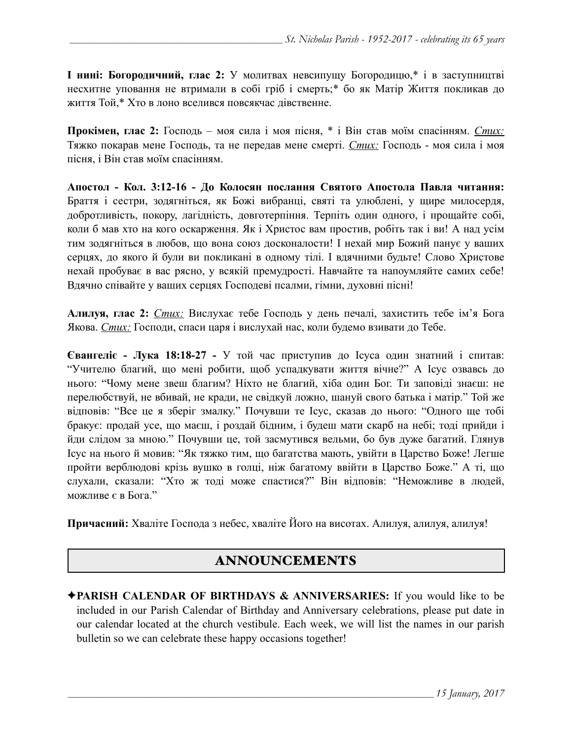**І нині: Богородичний, глас 2:** У молитвах невсипущу Богородицю,\* і в заступництві несхитне уповання не втримали в собі гріб і смерть;\* бо як Матір Життя покликав до життя Той,\* Хто в лоно вселився повсякчас дівственне.

**Прокімен, глас 2:** Господь – моя сила і моя пісня, \* і Він став моїм спасінням. *Стих:* Тяжко покарав мене Господь, та не передав мене смерті. *Стих:* Господь - моя сила і моя пісня, і Він став моїм спасінням.

**Апостол - Кол. 3:12-16 - До Колосян послання Святого Апостола Павла читання:** Браття і сестри, зодягніться, як Божі вибранці, святі та улюблені, у щире милосердя, добротливість, покору, лагідність, довготерпіння. Терпіть один одного, і прощайте собі, коли б мав хто на кого оскарження. Як і Христос вам простив, робіть так і ви! А над усім тим зодягніться в любов, що вона союз досконалости! І нехай мир Божий панує у ваших серцях, до якого й були ви покликані в одному тілі. І вдячними будьте! Слово Христове нехай пробуває в вас рясно, у всякій премудрості. Навчайте та напоумляйте самих себе! Вдячно співайте у ваших серцях Господеві псалми, гімни, духовні пісні!

**Алилуя, глас 2:** *Стих:* Вислухає тебе Господь у день печалі, захистить тебе ім'я Бога Якова. *Стих:* Господи, спаси царя і вислухай нас, коли будемо взивати до Тебе.

**Євангеліє - Лука 18:18-27 -** У той час приступив до Ісуса один знатний і спитав: "Учителю благий, що мені робити, щоб успадкувати життя вічне?" А Ісус озвавсь до нього: "Чому мене звеш благим? Ніхто не благий, хіба один Бог. Ти заповіді знаєш: не перелюбствуй, не вбивай, не кради, не свідкуй ложно, шануй свого батька і матір." Той же відповів: "Все це я зберіг змалку." Почувши те Ісус, сказав до нього: "Одного ще тобі бракує: продай усе, що маєш, і роздай бідним, і будеш мати скарб на небі; тоді прийди і йди слідом за мною." Почувши це, той засмутився вельми, бо був дуже багатий. Глянув Ісус на нього й мовив: "Як тяжко тим, що багатства мають, увійти в Царство Боже! Легше пройти верблюдові крізь вушко в голці, ніж багатому ввійти в Царство Боже." А ті, що слухали, сказали: "Хто ж тоді може спастися?" Він відповів: "Неможливе в людей, можливе є в Бога."

**Причасний:** Хваліте Господа з небес, хваліте Його на висотах. Алилуя, aлилуя, aлилуя!

# ANNOUNCEMENTS

✦**PARISH CALENDAR OF BIRTHDAYS & ANNIVERSARIES:** If you would like to be included in our Parish Calendar of Birthday and Anniversary celebrations, please put date in our calendar located at the church vestibule. Each week, we will list the names in our parish bulletin so we can celebrate these happy occasions together!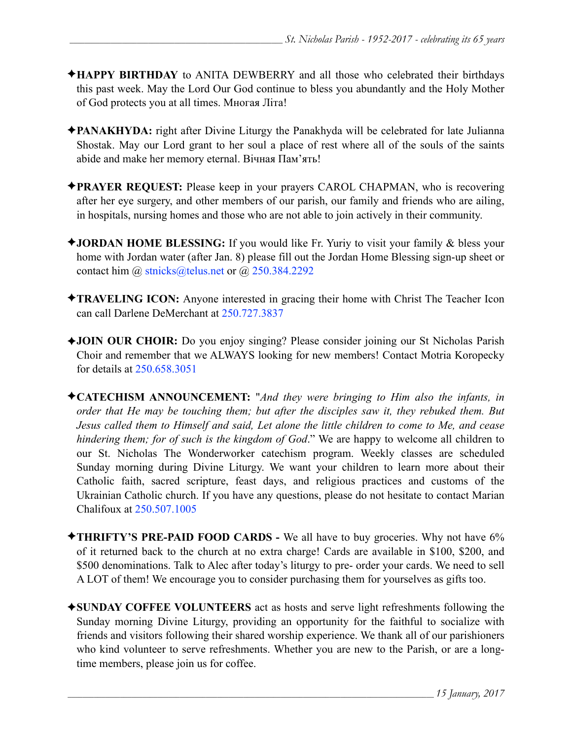- ✦**HAPPY BIRTHDAY** to ANITA DEWBERRY and all those who celebrated their birthdays this past week. May the Lord Our God continue to bless you abundantly and the Holy Mother of God protects you at all times. Многая Літа!
- ✦**PANAKHYDA:** right after Divine Liturgy the Panakhyda will be celebrated for late Julianna Shostak. May our Lord grant to her soul a place of rest where all of the souls of the saints abide and make her memory eternal. Вічная Пам'ять!
- ✦**PRAYER REQUEST:** Please keep in your prayers CAROL CHAPMAN, who is recovering after her eye surgery, and other members of our parish, our family and friends who are ailing, in hospitals, nursing homes and those who are not able to join actively in their community.
- ✦**JORDAN HOME BLESSING:** If you would like Fr. Yuriy to visit your family & bless your home with Jordan water (after Jan. 8) please fill out the Jordan Home Blessing sign-up sheet or contact him @ [stnicks@telus.net](mailto:stnicks@telus.net) or @ 250.384.2292
- ✦**TRAVELING ICON:** Anyone interested in gracing their home with Christ The Teacher Icon can call Darlene DeMerchant at 250.727.3837
- ✦**JOIN OUR CHOIR:** Do you enjoy singing? Please consider joining our St Nicholas Parish Choir and remember that we ALWAYS looking for new members! Contact Motria Koropecky for details at 250.658.3051
- ✦**CATECHISM ANNOUNCEMENT:** "*And they were bringing to Him also the infants, in order that He may be touching them; but after the disciples saw it, they rebuked them. But Jesus called them to Himself and said, Let alone the little children to come to Me, and cease hindering them; for of such is the kingdom of God*." We are happy to welcome all children to our St. Nicholas The Wonderworker catechism program. Weekly classes are scheduled Sunday morning during Divine Liturgy. We want your children to learn more about their Catholic faith, sacred scripture, feast days, and religious practices and customs of the Ukrainian Catholic church. If you have any questions, please do not hesitate to contact Marian Chalifoux at 250.507.1005
- ✦**THRIFTY'S PRE-PAID FOOD CARDS** We all have to buy groceries. Why not have 6% of it returned back to the church at no extra charge! Cards are available in \$100, \$200, and \$500 denominations. Talk to Alec after today's liturgy to pre- order your cards. We need to sell A LOT of them! We encourage you to consider purchasing them for yourselves as gifts too.
- ✦**SUNDAY COFFEE VOLUNTEERS** act as hosts and serve light refreshments following the Sunday morning Divine Liturgy, providing an opportunity for the faithful to socialize with friends and visitors following their shared worship experience. We thank all of our parishioners who kind volunteer to serve refreshments. Whether you are new to the Parish, or are a longtime members, please join us for coffee.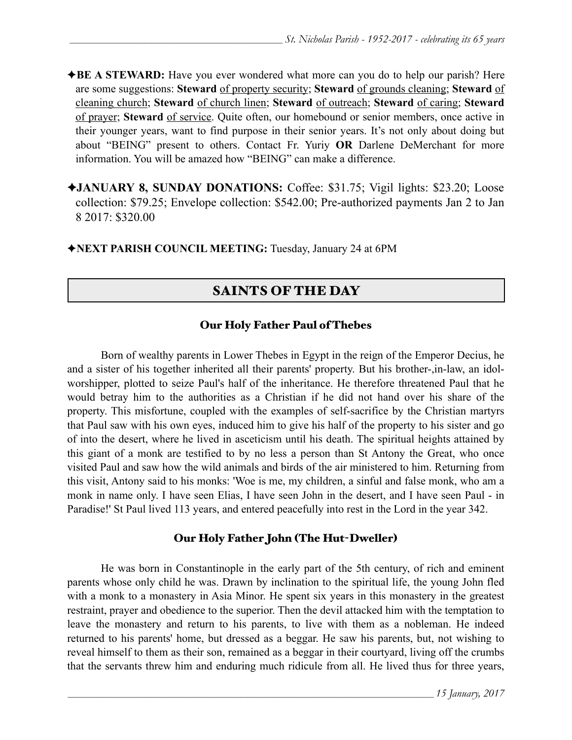✦**BE A STEWARD:** Have you ever wondered what more can you do to help our parish? Here are some suggestions: **Steward** of property security; **Steward** of grounds cleaning; **Steward** of cleaning church; **Steward** of church linen; **Steward** of outreach; **Steward** of caring; **Steward** of prayer; **Steward** of service. Quite often, our homebound or senior members, once active in their younger years, want to find purpose in their senior years. It's not only about doing but about "BEING" present to others. Contact Fr. Yuriy **OR** Darlene DeMerchant for more information. You will be amazed how "BEING" can make a difference.

✦**JANUARY 8, SUNDAY DONATIONS:** Coffee: \$31.75; Vigil lights: \$23.20; Loose collection: \$79.25; Envelope collection: \$542.00; Pre-authorized payments Jan 2 to Jan 8 2017: \$320.00

✦**NEXT PARISH COUNCIL MEETING:** Tuesday, January 24 at 6PM

## SAINTS OF THE DAY

### Our Holy Father Paul of Thebes

 Born of wealthy parents in Lower Thebes in Egypt in the reign of the Emperor Decius, he and a sister of his together inherited all their parents' property. But his brother-,in-law, an idolworshipper, plotted to seize Paul's half of the inheritance. He therefore threatened Paul that he would betray him to the authorities as a Christian if he did not hand over his share of the property. This misfortune, coupled with the examples of self-sacrifice by the Christian martyrs that Paul saw with his own eyes, induced him to give his half of the property to his sister and go of into the desert, where he lived in asceticism until his death. The spiritual heights attained by this giant of a monk are testified to by no less a person than St Antony the Great, who once visited Paul and saw how the wild animals and birds of the air ministered to him. Returning from this visit, Antony said to his monks: 'Woe is me, my children, a sinful and false monk, who am a monk in name only. I have seen Elias, I have seen John in the desert, and I have seen Paul - in Paradise!' St Paul lived 113 years, and entered peacefully into rest in the Lord in the year 342.

### Our Holy Father John (The Hut-Dweller)

 He was born in Constantinople in the early part of the 5th century, of rich and eminent parents whose only child he was. Drawn by inclination to the spiritual life, the young John fled with a monk to a monastery in Asia Minor. He spent six years in this monastery in the greatest restraint, prayer and obedience to the superior. Then the devil attacked him with the temptation to leave the monastery and return to his parents, to live with them as a nobleman. He indeed returned to his parents' home, but dressed as a beggar. He saw his parents, but, not wishing to reveal himself to them as their son, remained as a beggar in their courtyard, living off the crumbs that the servants threw him and enduring much ridicule from all. He lived thus for three years,